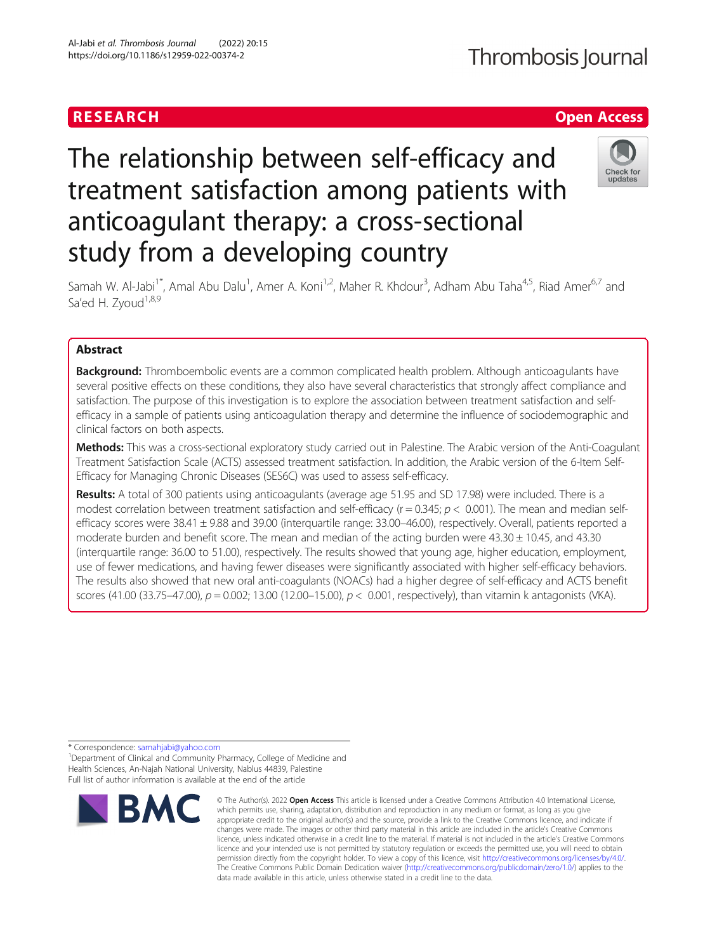# **RESEARCH CHE Open Access**

# The relationship between self-efficacy and treatment satisfaction among patients with anticoagulant therapy: a cross-sectional study from a developing country



Samah W. Al-Jabi<sup>1\*</sup>, Amal Abu Dalu<sup>1</sup>, Amer A. Koni<sup>1,2</sup>, Maher R. Khdour<sup>3</sup>, Adham Abu Taha<sup>4,5</sup>, Riad Amer<sup>6,7</sup> and Sa'ed H. Zyoud<sup>1,8,9</sup>

# Abstract

**Background:** Thromboembolic events are a common complicated health problem. Although anticoagulants have several positive effects on these conditions, they also have several characteristics that strongly affect compliance and satisfaction. The purpose of this investigation is to explore the association between treatment satisfaction and selfefficacy in a sample of patients using anticoagulation therapy and determine the influence of sociodemographic and clinical factors on both aspects.

Methods: This was a cross-sectional exploratory study carried out in Palestine. The Arabic version of the Anti-Coagulant Treatment Satisfaction Scale (ACTS) assessed treatment satisfaction. In addition, the Arabic version of the 6-Item Self-Efficacy for Managing Chronic Diseases (SES6C) was used to assess self-efficacy.

Results: A total of 300 patients using anticoagulants (average age 51.95 and SD 17.98) were included. There is a modest correlation between treatment satisfaction and self-efficacy ( $r = 0.345$ ;  $p < 0.001$ ). The mean and median selfefficacy scores were  $38.41 \pm 9.88$  and  $39.00$  (interquartile range:  $33.00-46.00$ ), respectively. Overall, patients reported a moderate burden and benefit score. The mean and median of the acting burden were  $43.30 \pm 10.45$ , and  $43.30$ (interquartile range: 36.00 to 51.00), respectively. The results showed that young age, higher education, employment, use of fewer medications, and having fewer diseases were significantly associated with higher self-efficacy behaviors. The results also showed that new oral anti-coagulants (NOACs) had a higher degree of self-efficacy and ACTS benefit scores (41.00 (33.75–47.00),  $p = 0.002$ ; 13.00 (12.00–15.00),  $p < 0.001$ , respectively), than vitamin k antagonists (VKA).

\* Correspondence: [samahjabi@yahoo.com](mailto:samahjabi@yahoo.com) <sup>1</sup>

<sup>1</sup> Department of Clinical and Community Pharmacy, College of Medicine and Health Sciences, An-Najah National University, Nablus 44839, Palestine Full list of author information is available at the end of the article



<sup>©</sup> The Author(s), 2022 **Open Access** This article is licensed under a Creative Commons Attribution 4.0 International License, which permits use, sharing, adaptation, distribution and reproduction in any medium or format, as long as you give appropriate credit to the original author(s) and the source, provide a link to the Creative Commons licence, and indicate if changes were made. The images or other third party material in this article are included in the article's Creative Commons licence, unless indicated otherwise in a credit line to the material. If material is not included in the article's Creative Commons licence and your intended use is not permitted by statutory regulation or exceeds the permitted use, you will need to obtain permission directly from the copyright holder. To view a copy of this licence, visit [http://creativecommons.org/licenses/by/4.0/.](http://creativecommons.org/licenses/by/4.0/) The Creative Commons Public Domain Dedication waiver [\(http://creativecommons.org/publicdomain/zero/1.0/](http://creativecommons.org/publicdomain/zero/1.0/)) applies to the data made available in this article, unless otherwise stated in a credit line to the data.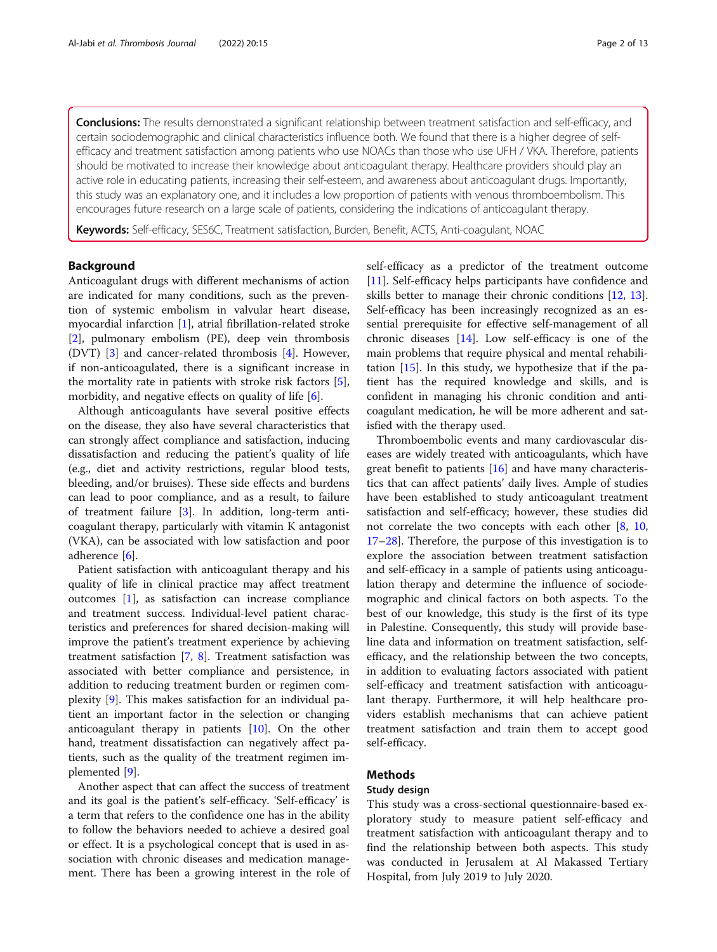Conclusions: The results demonstrated a significant relationship between treatment satisfaction and self-efficacy, and certain sociodemographic and clinical characteristics influence both. We found that there is a higher degree of selfefficacy and treatment satisfaction among patients who use NOACs than those who use UFH / VKA. Therefore, patients should be motivated to increase their knowledge about anticoagulant therapy. Healthcare providers should play an active role in educating patients, increasing their self-esteem, and awareness about anticoagulant drugs. Importantly, this study was an explanatory one, and it includes a low proportion of patients with venous thromboembolism. This encourages future research on a large scale of patients, considering the indications of anticoagulant therapy.

Keywords: Self-efficacy, SES6C, Treatment satisfaction, Burden, Benefit, ACTS, Anti-coagulant, NOAC

# Background

Anticoagulant drugs with different mechanisms of action are indicated for many conditions, such as the prevention of systemic embolism in valvular heart disease, myocardial infarction [[1\]](#page-11-0), atrial fibrillation-related stroke [[2\]](#page-11-0), pulmonary embolism (PE), deep vein thrombosis (DVT) [[3\]](#page-11-0) and cancer-related thrombosis [[4](#page-11-0)]. However, if non-anticoagulated, there is a significant increase in the mortality rate in patients with stroke risk factors [\[5](#page-11-0)], morbidity, and negative effects on quality of life [\[6](#page-11-0)].

Although anticoagulants have several positive effects on the disease, they also have several characteristics that can strongly affect compliance and satisfaction, inducing dissatisfaction and reducing the patient's quality of life (e.g., diet and activity restrictions, regular blood tests, bleeding, and/or bruises). These side effects and burdens can lead to poor compliance, and as a result, to failure of treatment failure [[3\]](#page-11-0). In addition, long-term anticoagulant therapy, particularly with vitamin K antagonist (VKA), can be associated with low satisfaction and poor adherence [\[6](#page-11-0)].

Patient satisfaction with anticoagulant therapy and his quality of life in clinical practice may affect treatment outcomes [[1\]](#page-11-0), as satisfaction can increase compliance and treatment success. Individual-level patient characteristics and preferences for shared decision-making will improve the patient's treatment experience by achieving treatment satisfaction [\[7](#page-11-0), [8](#page-11-0)]. Treatment satisfaction was associated with better compliance and persistence, in addition to reducing treatment burden or regimen complexity [[9](#page-11-0)]. This makes satisfaction for an individual patient an important factor in the selection or changing anticoagulant therapy in patients [[10](#page-11-0)]. On the other hand, treatment dissatisfaction can negatively affect patients, such as the quality of the treatment regimen implemented [[9\]](#page-11-0).

Another aspect that can affect the success of treatment and its goal is the patient's self-efficacy. 'Self-efficacy' is a term that refers to the confidence one has in the ability to follow the behaviors needed to achieve a desired goal or effect. It is a psychological concept that is used in association with chronic diseases and medication management. There has been a growing interest in the role of self-efficacy as a predictor of the treatment outcome [[11\]](#page-11-0). Self-efficacy helps participants have confidence and skills better to manage their chronic conditions [\[12,](#page-11-0) [13](#page-11-0)]. Self-efficacy has been increasingly recognized as an essential prerequisite for effective self-management of all chronic diseases [\[14](#page-11-0)]. Low self-efficacy is one of the main problems that require physical and mental rehabilitation [\[15](#page-11-0)]. In this study, we hypothesize that if the patient has the required knowledge and skills, and is confident in managing his chronic condition and anticoagulant medication, he will be more adherent and satisfied with the therapy used.

Thromboembolic events and many cardiovascular diseases are widely treated with anticoagulants, which have great benefit to patients  $[16]$  $[16]$  and have many characteristics that can affect patients' daily lives. Ample of studies have been established to study anticoagulant treatment satisfaction and self-efficacy; however, these studies did not correlate the two concepts with each other [\[8,](#page-11-0) [10](#page-11-0), [17](#page-11-0)–[28](#page-11-0)]. Therefore, the purpose of this investigation is to explore the association between treatment satisfaction and self-efficacy in a sample of patients using anticoagulation therapy and determine the influence of sociodemographic and clinical factors on both aspects. To the best of our knowledge, this study is the first of its type in Palestine. Consequently, this study will provide baseline data and information on treatment satisfaction, selfefficacy, and the relationship between the two concepts, in addition to evaluating factors associated with patient self-efficacy and treatment satisfaction with anticoagulant therapy. Furthermore, it will help healthcare providers establish mechanisms that can achieve patient treatment satisfaction and train them to accept good self-efficacy.

# Methods

# Study design

This study was a cross-sectional questionnaire-based exploratory study to measure patient self-efficacy and treatment satisfaction with anticoagulant therapy and to find the relationship between both aspects. This study was conducted in Jerusalem at Al Makassed Tertiary Hospital, from July 2019 to July 2020.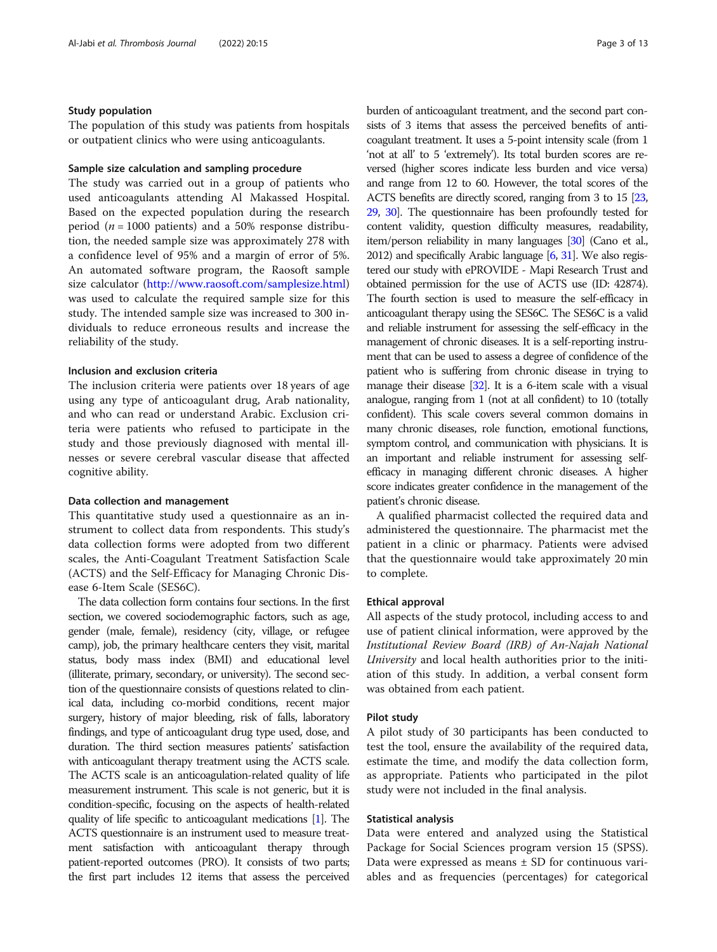# Study population

The population of this study was patients from hospitals or outpatient clinics who were using anticoagulants.

# Sample size calculation and sampling procedure

The study was carried out in a group of patients who used anticoagulants attending Al Makassed Hospital. Based on the expected population during the research period ( $n = 1000$  patients) and a 50% response distribution, the needed sample size was approximately 278 with a confidence level of 95% and a margin of error of 5%. An automated software program, the Raosoft sample size calculator (<http://www.raosoft.com/samplesize.html>) was used to calculate the required sample size for this study. The intended sample size was increased to 300 individuals to reduce erroneous results and increase the reliability of the study.

# Inclusion and exclusion criteria

The inclusion criteria were patients over 18 years of age using any type of anticoagulant drug, Arab nationality, and who can read or understand Arabic. Exclusion criteria were patients who refused to participate in the study and those previously diagnosed with mental illnesses or severe cerebral vascular disease that affected cognitive ability.

# Data collection and management

This quantitative study used a questionnaire as an instrument to collect data from respondents. This study's data collection forms were adopted from two different scales, the Anti-Coagulant Treatment Satisfaction Scale (ACTS) and the Self-Efficacy for Managing Chronic Disease 6-Item Scale (SES6C).

The data collection form contains four sections. In the first section, we covered sociodemographic factors, such as age, gender (male, female), residency (city, village, or refugee camp), job, the primary healthcare centers they visit, marital status, body mass index (BMI) and educational level (illiterate, primary, secondary, or university). The second section of the questionnaire consists of questions related to clinical data, including co-morbid conditions, recent major surgery, history of major bleeding, risk of falls, laboratory findings, and type of anticoagulant drug type used, dose, and duration. The third section measures patients' satisfaction with anticoagulant therapy treatment using the ACTS scale. The ACTS scale is an anticoagulation-related quality of life measurement instrument. This scale is not generic, but it is condition-specific, focusing on the aspects of health-related quality of life specific to anticoagulant medications [\[1\]](#page-11-0). The ACTS questionnaire is an instrument used to measure treatment satisfaction with anticoagulant therapy through patient-reported outcomes (PRO). It consists of two parts; the first part includes 12 items that assess the perceived burden of anticoagulant treatment, and the second part consists of 3 items that assess the perceived benefits of anticoagulant treatment. It uses a 5-point intensity scale (from 1 'not at all' to 5 'extremely'). Its total burden scores are reversed (higher scores indicate less burden and vice versa) and range from 12 to 60. However, the total scores of the ACTS benefits are directly scored, ranging from 3 to 15 [\[23](#page-11-0), [29,](#page-11-0) [30](#page-12-0)]. The questionnaire has been profoundly tested for content validity, question difficulty measures, readability, item/person reliability in many languages [\[30](#page-12-0)] (Cano et al., 2012) and specifically Arabic language [\[6,](#page-11-0) [31\]](#page-12-0). We also registered our study with ePROVIDE - Mapi Research Trust and obtained permission for the use of ACTS use (ID: 42874). The fourth section is used to measure the self-efficacy in anticoagulant therapy using the SES6C. The SES6C is a valid and reliable instrument for assessing the self-efficacy in the management of chronic diseases. It is a self-reporting instrument that can be used to assess a degree of confidence of the patient who is suffering from chronic disease in trying to manage their disease [\[32](#page-12-0)]. It is a 6-item scale with a visual analogue, ranging from 1 (not at all confident) to 10 (totally confident). This scale covers several common domains in many chronic diseases, role function, emotional functions, symptom control, and communication with physicians. It is an important and reliable instrument for assessing selfefficacy in managing different chronic diseases. A higher score indicates greater confidence in the management of the patient's chronic disease.

A qualified pharmacist collected the required data and administered the questionnaire. The pharmacist met the patient in a clinic or pharmacy. Patients were advised that the questionnaire would take approximately 20 min to complete.

# Ethical approval

All aspects of the study protocol, including access to and use of patient clinical information, were approved by the Institutional Review Board (IRB) of An-Najah National University and local health authorities prior to the initiation of this study. In addition, a verbal consent form was obtained from each patient.

#### Pilot study

A pilot study of 30 participants has been conducted to test the tool, ensure the availability of the required data, estimate the time, and modify the data collection form, as appropriate. Patients who participated in the pilot study were not included in the final analysis.

# Statistical analysis

Data were entered and analyzed using the Statistical Package for Social Sciences program version 15 (SPSS). Data were expressed as means  $\pm$  SD for continuous variables and as frequencies (percentages) for categorical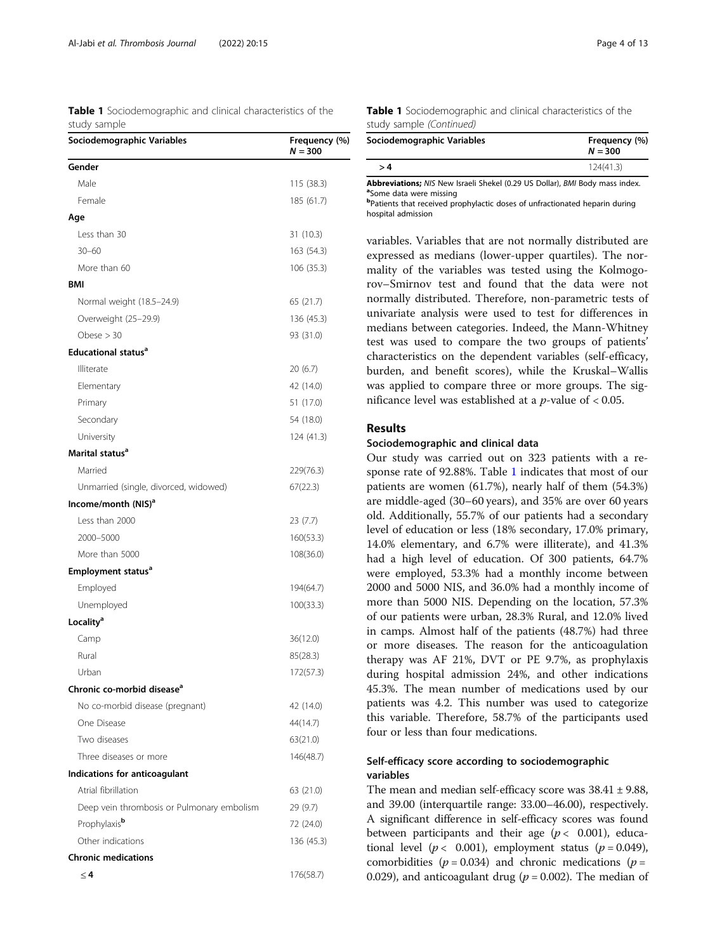|              |  |  | <b>Table 1</b> Sociodemographic and clinical characteristics of the |  |
|--------------|--|--|---------------------------------------------------------------------|--|
| study sample |  |  |                                                                     |  |

| Sociodemographic Variables                 | Frequency (%)<br>$N = 300$ |
|--------------------------------------------|----------------------------|
| Gender                                     |                            |
| Male                                       | 115 (38.3)                 |
| Female                                     | 185 (61.7)                 |
| Age                                        |                            |
| Less than 30                               | 31 (10.3)                  |
| $30 - 60$                                  | 163 (54.3)                 |
| More than 60                               | 106 (35.3)                 |
| <b>BMI</b>                                 |                            |
| Normal weight (18.5-24.9)                  | 65 (21.7)                  |
| Overweight (25-29.9)                       | 136 (45.3)                 |
| Obese $>$ 30                               | 93 (31.0)                  |
| <b>Educational status<sup>a</sup></b>      |                            |
| Illiterate                                 | 20 (6.7)                   |
| Elementary                                 | 42 (14.0)                  |
| Primary                                    | 51 (17.0)                  |
| Secondary                                  | 54 (18.0)                  |
| University                                 | 124 (41.3)                 |
| Marital status <sup>a</sup>                |                            |
| Married                                    | 229(76.3)                  |
| Unmarried (single, divorced, widowed)      | 67(22.3)                   |
| Income/month (NIS) <sup>a</sup>            |                            |
| Less than 2000                             | 23(7.7)                    |
| 2000-5000                                  | 160(53.3)                  |
| More than 5000                             | 108(36.0)                  |
| <b>Employment status<sup>a</sup></b>       |                            |
| Employed                                   | 194(64.7)                  |
| Unemployed                                 | 100(33.3)                  |
| Locality <sup>a</sup>                      |                            |
| Camp                                       | 36(12.0)                   |
| Rural                                      | 85(28.3)                   |
| Urban                                      | 172(57.3)                  |
| Chronic co-morbid disease <sup>a</sup>     |                            |
| No co-morbid disease (pregnant)            | 42 (14.0)                  |
| One Disease                                | 44(14.7)                   |
| Two diseases                               | 63(21.0)                   |
| Three diseases or more                     | 146(48.7)                  |
| Indications for anticoagulant              |                            |
| Atrial fibrillation                        | 63 (21.0)                  |
| Deep vein thrombosis or Pulmonary embolism | 29 (9.7)                   |
| Prophylaxis <sup>b</sup>                   | 72 (24.0)                  |
| Other indications                          | 136 (45.3)                 |
| <b>Chronic medications</b>                 |                            |
| $\leq$ 4                                   | 176(58.7)                  |

| <b>Table 1</b> Sociodemographic and clinical characteristics of the |  |  |
|---------------------------------------------------------------------|--|--|
| study sample (Continued)                                            |  |  |

| Sociodemographic Variables | Frequency (%)<br>$N = 300$ |  |
|----------------------------|----------------------------|--|
| > 4                        | 124(41.3)                  |  |

Abbreviations; NIS New Israeli Shekel (0.29 US Dollar), BMI Body mass index. <sup>a</sup>Some data were missing

b Patients that received prophylactic doses of unfractionated heparin during hospital admission

variables. Variables that are not normally distributed are expressed as medians (lower-upper quartiles). The normality of the variables was tested using the Kolmogorov–Smirnov test and found that the data were not normally distributed. Therefore, non-parametric tests of univariate analysis were used to test for differences in medians between categories. Indeed, the Mann-Whitney test was used to compare the two groups of patients' characteristics on the dependent variables (self-efficacy, burden, and benefit scores), while the Kruskal–Wallis was applied to compare three or more groups. The significance level was established at a  $p$ -value of < 0.05.

# Results

# Sociodemographic and clinical data

Our study was carried out on 323 patients with a response rate of 92.88%. Table 1 indicates that most of our patients are women (61.7%), nearly half of them (54.3%) are middle-aged (30–60 years), and 35% are over 60 years old. Additionally, 55.7% of our patients had a secondary level of education or less (18% secondary, 17.0% primary, 14.0% elementary, and 6.7% were illiterate), and 41.3% had a high level of education. Of 300 patients, 64.7% were employed, 53.3% had a monthly income between 2000 and 5000 NIS, and 36.0% had a monthly income of more than 5000 NIS. Depending on the location, 57.3% of our patients were urban, 28.3% Rural, and 12.0% lived in camps. Almost half of the patients (48.7%) had three or more diseases. The reason for the anticoagulation therapy was AF 21%, DVT or PE 9.7%, as prophylaxis during hospital admission 24%, and other indications 45.3%. The mean number of medications used by our patients was 4.2. This number was used to categorize this variable. Therefore, 58.7% of the participants used four or less than four medications.

# Self-efficacy score according to sociodemographic variables

The mean and median self-efficacy score was  $38.41 \pm 9.88$ , and 39.00 (interquartile range: 33.00–46.00), respectively. A significant difference in self-efficacy scores was found between participants and their age  $(p < 0.001)$ , educational level ( $p < 0.001$ ), employment status ( $p = 0.049$ ), comorbidities ( $p = 0.034$ ) and chronic medications ( $p =$ 0.029), and anticoagulant drug ( $p = 0.002$ ). The median of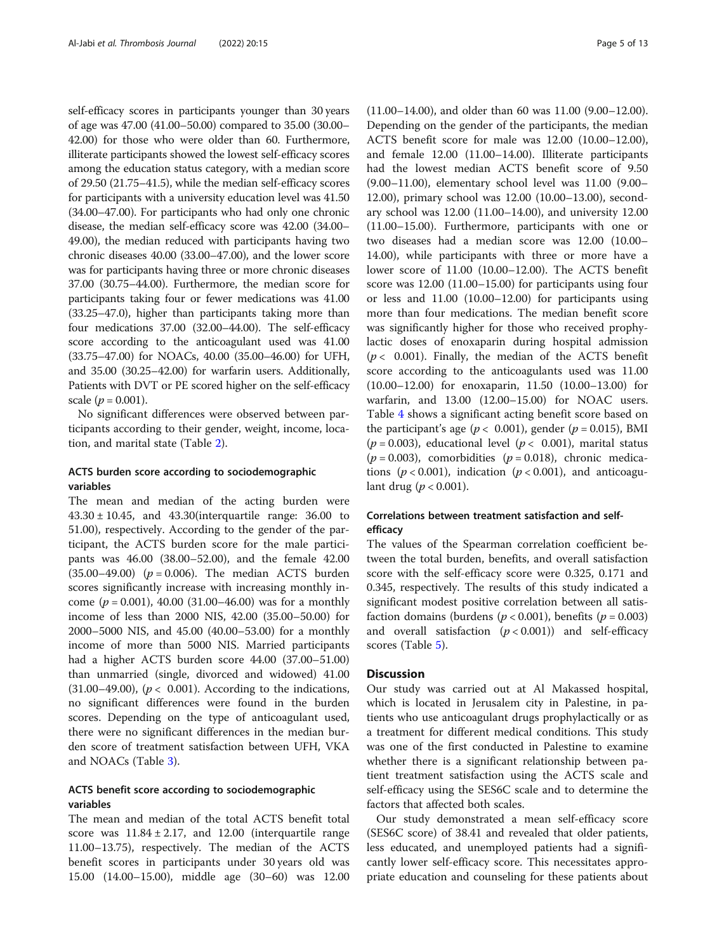self-efficacy scores in participants younger than 30 years of age was 47.00 (41.00–50.00) compared to 35.00 (30.00– 42.00) for those who were older than 60. Furthermore, illiterate participants showed the lowest self-efficacy scores among the education status category, with a median score of 29.50 (21.75–41.5), while the median self-efficacy scores for participants with a university education level was 41.50 (34.00–47.00). For participants who had only one chronic disease, the median self-efficacy score was 42.00 (34.00– 49.00), the median reduced with participants having two chronic diseases 40.00 (33.00–47.00), and the lower score was for participants having three or more chronic diseases 37.00 (30.75–44.00). Furthermore, the median score for participants taking four or fewer medications was 41.00 (33.25–47.0), higher than participants taking more than four medications 37.00 (32.00–44.00). The self-efficacy score according to the anticoagulant used was 41.00 (33.75–47.00) for NOACs, 40.00 (35.00–46.00) for UFH, and 35.00 (30.25–42.00) for warfarin users. Additionally, Patients with DVT or PE scored higher on the self-efficacy scale ( $p = 0.001$ ).

No significant differences were observed between participants according to their gender, weight, income, location, and marital state (Table [2\)](#page-5-0).

# ACTS burden score according to sociodemographic variables

The mean and median of the acting burden were 43.30 ± 10.45, and 43.30(interquartile range: 36.00 to 51.00), respectively. According to the gender of the participant, the ACTS burden score for the male participants was 46.00 (38.00–52.00), and the female 42.00  $(35.00-49.00)$  ( $p = 0.006$ ). The median ACTS burden scores significantly increase with increasing monthly income ( $p = 0.001$ ), 40.00 (31.00–46.00) was for a monthly income of less than 2000 NIS, 42.00 (35.00–50.00) for 2000–5000 NIS, and 45.00 (40.00–53.00) for a monthly income of more than 5000 NIS. Married participants had a higher ACTS burden score 44.00 (37.00–51.00) than unmarried (single, divorced and widowed) 41.00 (31.00–49.00), ( $p < 0.001$ ). According to the indications, no significant differences were found in the burden scores. Depending on the type of anticoagulant used, there were no significant differences in the median burden score of treatment satisfaction between UFH, VKA and NOACs (Table [3](#page-7-0)).

# ACTS benefit score according to sociodemographic variables

The mean and median of the total ACTS benefit total score was  $11.84 \pm 2.17$ , and  $12.00$  (interquartile range 11.00–13.75), respectively. The median of the ACTS benefit scores in participants under 30 years old was 15.00 (14.00–15.00), middle age (30–60) was 12.00

(11.00–14.00), and older than 60 was 11.00 (9.00–12.00). Depending on the gender of the participants, the median ACTS benefit score for male was 12.00 (10.00–12.00), and female 12.00 (11.00–14.00). Illiterate participants had the lowest median ACTS benefit score of 9.50 (9.00–11.00), elementary school level was 11.00 (9.00– 12.00), primary school was 12.00 (10.00–13.00), secondary school was 12.00 (11.00–14.00), and university 12.00 (11.00–15.00). Furthermore, participants with one or two diseases had a median score was 12.00 (10.00– 14.00), while participants with three or more have a lower score of 11.00 (10.00–12.00). The ACTS benefit score was 12.00 (11.00–15.00) for participants using four or less and 11.00 (10.00–12.00) for participants using more than four medications. The median benefit score was significantly higher for those who received prophylactic doses of enoxaparin during hospital admission  $(p < 0.001)$ . Finally, the median of the ACTS benefit score according to the anticoagulants used was 11.00 (10.00–12.00) for enoxaparin, 11.50 (10.00–13.00) for warfarin, and 13.00 (12.00–15.00) for NOAC users. Table [4](#page-9-0) shows a significant acting benefit score based on the participant's age ( $p < 0.001$ ), gender ( $p = 0.015$ ), BMI  $(p = 0.003)$ , educational level  $(p < 0.001)$ , marital status  $(p = 0.003)$ , comorbidities  $(p = 0.018)$ , chronic medications ( $p < 0.001$ ), indication ( $p < 0.001$ ), and anticoagulant drug ( $p < 0.001$ ).

# Correlations between treatment satisfaction and selfefficacy

The values of the Spearman correlation coefficient between the total burden, benefits, and overall satisfaction score with the self-efficacy score were 0.325, 0.171 and 0.345, respectively. The results of this study indicated a significant modest positive correlation between all satisfaction domains (burdens ( $p < 0.001$ ), benefits ( $p = 0.003$ ) and overall satisfaction  $(p < 0.001)$  and self-efficacy scores (Table [5\)](#page-10-0).

# **Discussion**

Our study was carried out at Al Makassed hospital, which is located in Jerusalem city in Palestine, in patients who use anticoagulant drugs prophylactically or as a treatment for different medical conditions. This study was one of the first conducted in Palestine to examine whether there is a significant relationship between patient treatment satisfaction using the ACTS scale and self-efficacy using the SES6C scale and to determine the factors that affected both scales.

Our study demonstrated a mean self-efficacy score (SES6C score) of 38.41 and revealed that older patients, less educated, and unemployed patients had a significantly lower self-efficacy score. This necessitates appropriate education and counseling for these patients about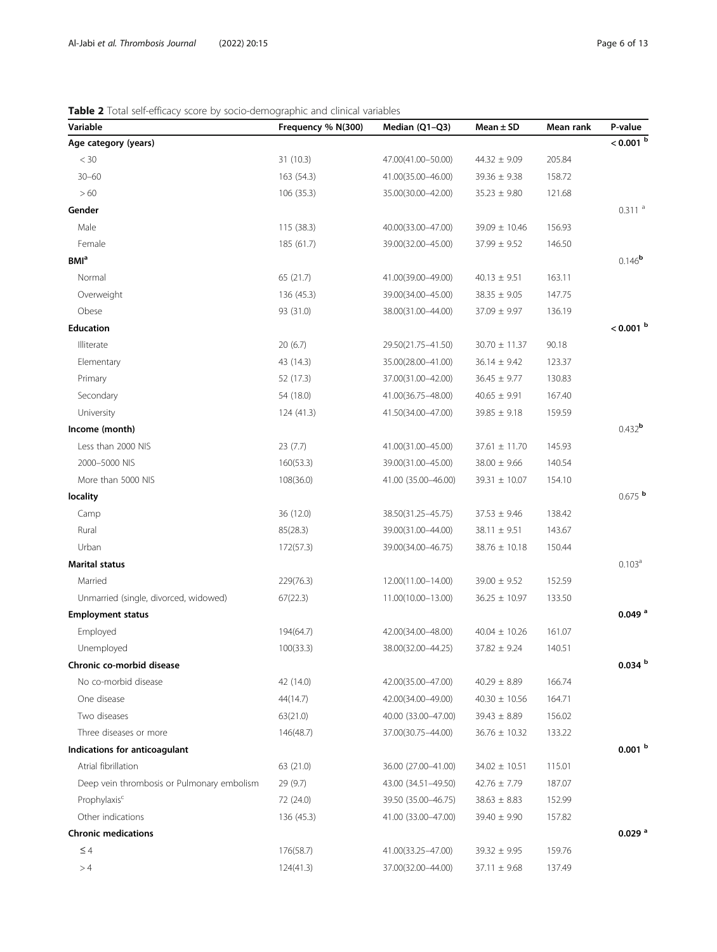# <span id="page-5-0"></span>Table 2 Total self-efficacy score by socio-demographic and clinical variables

| Variable                                   | Frequency % N(300) | Median (Q1-Q3)      | Mean $\pm$ SD     | Mean rank | P-value                 |
|--------------------------------------------|--------------------|---------------------|-------------------|-----------|-------------------------|
| Age category (years)                       |                    |                     |                   |           | $< 0.001$ b             |
| $<$ 30                                     | 31(10.3)           | 47.00(41.00-50.00)  | $44.32 \pm 9.09$  | 205.84    |                         |
| $30 - 60$                                  | 163 (54.3)         | 41.00(35.00-46.00)  | $39.36 \pm 9.38$  | 158.72    |                         |
| >60                                        | 106 (35.3)         | 35.00(30.00-42.00)  | $35.23 \pm 9.80$  | 121.68    |                         |
| Gender                                     |                    |                     |                   |           | 0.311a                  |
| Male                                       | 115(38.3)          | 40.00(33.00-47.00)  | $39.09 \pm 10.46$ | 156.93    |                         |
| Female                                     | 185 (61.7)         | 39.00(32.00-45.00)  | $37.99 \pm 9.52$  | 146.50    |                         |
| <b>BMI</b> <sup>a</sup>                    |                    |                     |                   |           | $0.146^{b}$             |
| Normal                                     | 65 (21.7)          | 41.00(39.00-49.00)  | $40.13 \pm 9.51$  | 163.11    |                         |
| Overweight                                 | 136 (45.3)         | 39.00(34.00-45.00)  | $38.35 \pm 9.05$  | 147.75    |                         |
| Obese                                      | 93 (31.0)          | 38.00(31.00-44.00)  | $37.09 \pm 9.97$  | 136.19    |                         |
| <b>Education</b>                           |                    |                     |                   |           | $< 0.001$ b             |
| Illiterate                                 | 20(6.7)            | 29.50(21.75-41.50)  | $30.70 \pm 11.37$ | 90.18     |                         |
| Elementary                                 | 43 (14.3)          | 35.00(28.00-41.00)  | $36.14 \pm 9.42$  | 123.37    |                         |
| Primary                                    | 52 (17.3)          | 37.00(31.00-42.00)  | $36.45 \pm 9.77$  | 130.83    |                         |
| Secondary                                  | 54 (18.0)          | 41.00(36.75-48.00)  | $40.65 \pm 9.91$  | 167.40    |                         |
| University                                 | 124 (41.3)         | 41.50(34.00-47.00)  | $39.85 \pm 9.18$  | 159.59    |                         |
| Income (month)                             |                    |                     |                   |           | $0.432$ <sup>b</sup>    |
| Less than 2000 NIS                         | 23(7.7)            | 41.00(31.00-45.00)  | $37.61 \pm 11.70$ | 145.93    |                         |
| 2000-5000 NIS                              | 160(53.3)          | 39.00(31.00-45.00)  | $38.00 \pm 9.66$  | 140.54    |                         |
| More than 5000 NIS                         | 108(36.0)          | 41.00 (35.00-46.00) | $39.31 \pm 10.07$ | 154.10    |                         |
| locality                                   |                    |                     |                   |           | $0.675$ b               |
| Camp                                       | 36 (12.0)          | 38.50(31.25-45.75)  | $37.53 \pm 9.46$  | 138.42    |                         |
| Rural                                      | 85(28.3)           | 39.00(31.00-44.00)  | $38.11 \pm 9.51$  | 143.67    |                         |
| Urban                                      | 172(57.3)          | 39.00(34.00-46.75)  | $38.76 \pm 10.18$ | 150.44    |                         |
| <b>Marital status</b>                      |                    |                     |                   |           | 0.103 <sup>a</sup>      |
| Married                                    | 229(76.3)          | 12.00(11.00-14.00)  | $39.00 \pm 9.52$  | 152.59    |                         |
| Unmarried (single, divorced, widowed)      | 67(22.3)           | 11.00(10.00-13.00)  | $36.25 \pm 10.97$ | 133.50    |                         |
| <b>Employment status</b>                   |                    |                     |                   |           | $0.049$ <sup>a</sup>    |
| Employed                                   | 194(64.7)          | 42.00(34.00-48.00)  | $40.04 \pm 10.26$ | 161.07    |                         |
| Unemployed                                 | 100(33.3)          | 38.00(32.00-44.25)  | $37.82 \pm 9.24$  | 140.51    |                         |
| Chronic co-morbid disease                  |                    |                     |                   |           | $0.034$ $^{\mathrm{b}}$ |
| No co-morbid disease                       | 42 (14.0)          | 42.00(35.00-47.00)  | $40.29 \pm 8.89$  | 166.74    |                         |
| One disease                                | 44(14.7)           | 42.00(34.00-49.00)  | $40.30 \pm 10.56$ | 164.71    |                         |
| Two diseases                               | 63(21.0)           | 40.00 (33.00-47.00) | $39.43 \pm 8.89$  | 156.02    |                         |
| Three diseases or more                     | 146(48.7)          | 37.00(30.75-44.00)  | $36.76 \pm 10.32$ | 133.22    |                         |
| Indications for anticoagulant              |                    |                     |                   |           | 0.001 <sup>b</sup>      |
| Atrial fibrillation                        | 63 (21.0)          | 36.00 (27.00-41.00) | $34.02 \pm 10.51$ | 115.01    |                         |
| Deep vein thrombosis or Pulmonary embolism | 29(9.7)            | 43.00 (34.51-49.50) | $42.76 \pm 7.79$  | 187.07    |                         |
| Prophylaxis <sup>c</sup>                   | 72 (24.0)          | 39.50 (35.00-46.75) | $38.63 \pm 8.83$  | 152.99    |                         |
| Other indications                          | 136 (45.3)         | 41.00 (33.00-47.00) | $39.40 \pm 9.90$  | 157.82    |                         |
| <b>Chronic medications</b>                 |                    |                     |                   |           | $0.029$ <sup>a</sup>    |
| $\leq 4$                                   | 176(58.7)          | 41.00(33.25-47.00)  | $39.32 \pm 9.95$  | 159.76    |                         |
| >4                                         | 124(41.3)          | 37.00(32.00-44.00)  | $37.11 \pm 9.68$  | 137.49    |                         |
|                                            |                    |                     |                   |           |                         |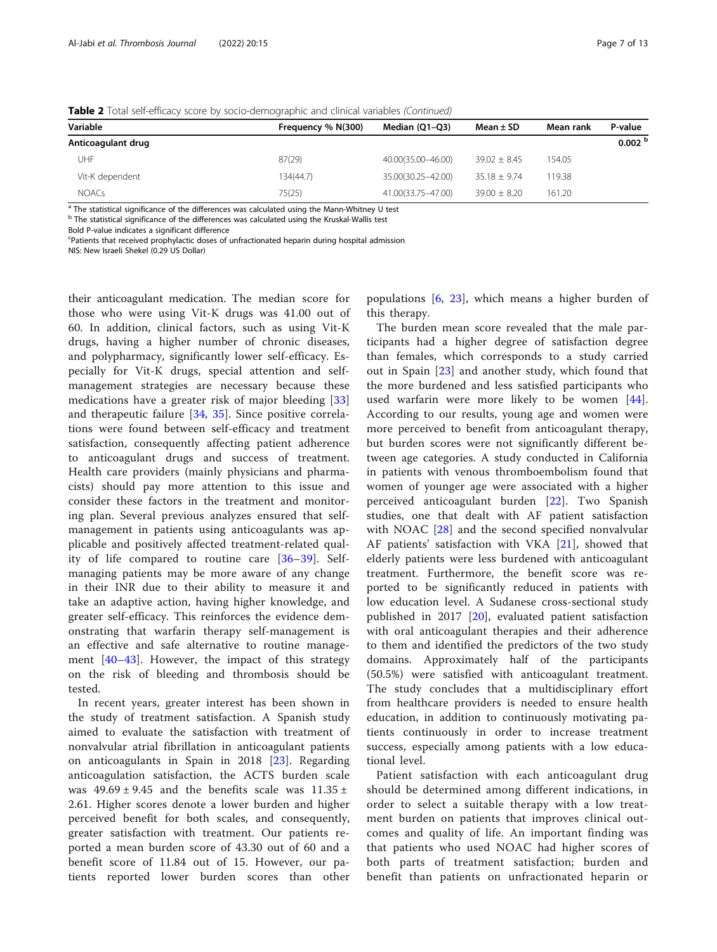| Frequency % N(300) | Median (Q1-Q3)     | Mean $\pm$ SD    | Mean rank | P-value            |
|--------------------|--------------------|------------------|-----------|--------------------|
|                    |                    |                  |           | 0.002 <sup>b</sup> |
| 87(29)             | 40.00(35.00-46.00) | $39.02 \pm 8.45$ | 154.05    |                    |
| 134(44.7)          | 35.00(30.25-42.00) | $35.18 + 9.74$   | 119.38    |                    |
| 75(25)             | 41.00(33.75-47.00) | $39.00 \pm 8.20$ | 161.20    |                    |
|                    |                    |                  |           |                    |

Table 2 Total self-efficacy score by socio-demographic and clinical variables (Continued)

a The statistical significance of the differences was calculated using the Mann-Whitney U test

<sup>b</sup> The statistical significance of the differences was calculated using the Kruskal-Wallis test

Bold P-value indicates a significant difference

Patients that received prophylactic doses of unfractionated heparin during hospital admission

NIS: New Israeli Shekel (0.29 US Dollar)

their anticoagulant medication. The median score for those who were using Vit-K drugs was 41.00 out of 60. In addition, clinical factors, such as using Vit-K drugs, having a higher number of chronic diseases, and polypharmacy, significantly lower self-efficacy. Especially for Vit-K drugs, special attention and selfmanagement strategies are necessary because these medications have a greater risk of major bleeding [\[33](#page-12-0)] and therapeutic failure [\[34](#page-12-0), [35\]](#page-12-0). Since positive correlations were found between self-efficacy and treatment satisfaction, consequently affecting patient adherence to anticoagulant drugs and success of treatment. Health care providers (mainly physicians and pharmacists) should pay more attention to this issue and consider these factors in the treatment and monitoring plan. Several previous analyzes ensured that selfmanagement in patients using anticoagulants was applicable and positively affected treatment-related quality of life compared to routine care [[36](#page-12-0)–[39\]](#page-12-0). Selfmanaging patients may be more aware of any change in their INR due to their ability to measure it and take an adaptive action, having higher knowledge, and greater self-efficacy. This reinforces the evidence demonstrating that warfarin therapy self-management is an effective and safe alternative to routine management [\[40](#page-12-0)–[43](#page-12-0)]. However, the impact of this strategy on the risk of bleeding and thrombosis should be tested.

In recent years, greater interest has been shown in the study of treatment satisfaction. A Spanish study aimed to evaluate the satisfaction with treatment of nonvalvular atrial fibrillation in anticoagulant patients on anticoagulants in Spain in 2018 [\[23](#page-11-0)]. Regarding anticoagulation satisfaction, the ACTS burden scale was  $49.69 \pm 9.45$  and the benefits scale was  $11.35 \pm 1.35$ 2.61. Higher scores denote a lower burden and higher perceived benefit for both scales, and consequently, greater satisfaction with treatment. Our patients reported a mean burden score of 43.30 out of 60 and a benefit score of 11.84 out of 15. However, our patients reported lower burden scores than other populations [[6,](#page-11-0) [23\]](#page-11-0), which means a higher burden of this therapy.

The burden mean score revealed that the male participants had a higher degree of satisfaction degree than females, which corresponds to a study carried out in Spain [[23\]](#page-11-0) and another study, which found that the more burdened and less satisfied participants who used warfarin were more likely to be women [\[44](#page-12-0)]. According to our results, young age and women were more perceived to benefit from anticoagulant therapy, but burden scores were not significantly different between age categories. A study conducted in California in patients with venous thromboembolism found that women of younger age were associated with a higher perceived anticoagulant burden [[22\]](#page-11-0). Two Spanish studies, one that dealt with AF patient satisfaction with NOAC [\[28](#page-11-0)] and the second specified nonvalvular AF patients' satisfaction with VKA [[21\]](#page-11-0), showed that elderly patients were less burdened with anticoagulant treatment. Furthermore, the benefit score was reported to be significantly reduced in patients with low education level. A Sudanese cross-sectional study published in 2017 [\[20](#page-11-0)], evaluated patient satisfaction with oral anticoagulant therapies and their adherence to them and identified the predictors of the two study domains. Approximately half of the participants (50.5%) were satisfied with anticoagulant treatment. The study concludes that a multidisciplinary effort from healthcare providers is needed to ensure health education, in addition to continuously motivating patients continuously in order to increase treatment success, especially among patients with a low educational level.

Patient satisfaction with each anticoagulant drug should be determined among different indications, in order to select a suitable therapy with a low treatment burden on patients that improves clinical outcomes and quality of life. An important finding was that patients who used NOAC had higher scores of both parts of treatment satisfaction; burden and benefit than patients on unfractionated heparin or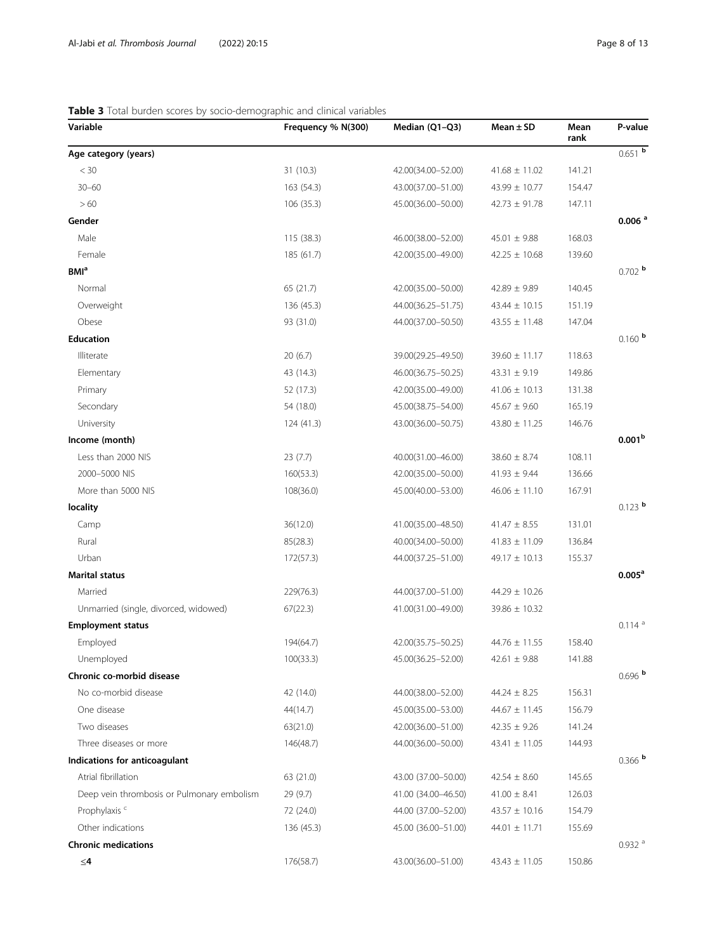| Variable                                   | Frequency % N(300) | Median (Q1-Q3)      | Mean $\pm$ SD     | Mean<br>rank | P-value              |
|--------------------------------------------|--------------------|---------------------|-------------------|--------------|----------------------|
| Age category (years)                       |                    |                     |                   |              | $0.651$ b            |
| $<$ 30                                     | 31(10.3)           | 42.00(34.00-52.00)  | $41.68 \pm 11.02$ | 141.21       |                      |
| $30 - 60$                                  | 163 (54.3)         | 43.00(37.00-51.00)  | 43.99 ± 10.77     | 154.47       |                      |
| >60                                        | 106(35.3)          | 45.00(36.00-50.00)  | $42.73 \pm 91.78$ | 147.11       |                      |
| Gender                                     |                    |                     |                   |              | $0.006$ <sup>a</sup> |
| Male                                       | 115 (38.3)         | 46.00(38.00-52.00)  | $45.01 \pm 9.88$  | 168.03       |                      |
| Female                                     | 185 (61.7)         | 42.00(35.00-49.00)  | $42.25 \pm 10.68$ | 139.60       |                      |
| <b>BMI</b> <sup>a</sup>                    |                    |                     |                   |              | $0.702$ b            |
| Normal                                     | 65 (21.7)          | 42.00(35.00-50.00)  | $42.89 \pm 9.89$  | 140.45       |                      |
| Overweight                                 | 136 (45.3)         | 44.00(36.25-51.75)  | $43.44 \pm 10.15$ | 151.19       |                      |
| Obese                                      | 93 (31.0)          | 44.00(37.00-50.50)  | $43.55 \pm 11.48$ | 147.04       |                      |
| <b>Education</b>                           |                    |                     |                   |              | $0.160$ b            |
| Illiterate                                 | 20(6.7)            | 39.00(29.25-49.50)  | $39.60 \pm 11.17$ | 118.63       |                      |
| Elementary                                 | 43 (14.3)          | 46.00(36.75-50.25)  | 43.31 $\pm$ 9.19  | 149.86       |                      |
| Primary                                    | 52 (17.3)          | 42.00(35.00-49.00)  | $41.06 \pm 10.13$ | 131.38       |                      |
| Secondary                                  | 54 (18.0)          | 45.00(38.75-54.00)  | $45.67 \pm 9.60$  | 165.19       |                      |
| University                                 | 124(41.3)          | 43.00(36.00-50.75)  | $43.80 \pm 11.25$ | 146.76       |                      |
| Income (month)                             |                    |                     |                   |              | 0.001 <sup>b</sup>   |
| Less than 2000 NIS                         | 23(7.7)            | 40.00(31.00-46.00)  | $38.60 \pm 8.74$  | 108.11       |                      |
| 2000-5000 NIS                              | 160(53.3)          | 42.00(35.00-50.00)  | $41.93 \pm 9.44$  | 136.66       |                      |
| More than 5000 NIS                         | 108(36.0)          | 45.00(40.00-53.00)  | $46.06 \pm 11.10$ | 167.91       |                      |
| locality                                   |                    |                     |                   |              | $0.123$ b            |
| Camp                                       | 36(12.0)           | 41.00(35.00-48.50)  | $41.47 \pm 8.55$  | 131.01       |                      |
| Rural                                      | 85(28.3)           | 40.00(34.00-50.00)  | $41.83 \pm 11.09$ | 136.84       |                      |
| Urban                                      | 172(57.3)          | 44.00(37.25-51.00)  | $49.17 \pm 10.13$ | 155.37       |                      |
| <b>Marital status</b>                      |                    |                     |                   |              | $0.005^{\text{a}}$   |
| Married                                    | 229(76.3)          | 44.00(37.00-51.00)  | $44.29 \pm 10.26$ |              |                      |
| Unmarried (single, divorced, widowed)      | 67(22.3)           | 41.00(31.00-49.00)  | $39.86 \pm 10.32$ |              |                      |
| <b>Employment status</b>                   |                    |                     |                   |              | $0.114$ <sup>a</sup> |
| Employed                                   | 194(64.7)          | 42.00(35.75-50.25)  | $44.76 \pm 11.55$ | 158.40       |                      |
| Unemployed                                 | 100(33.3)          | 45.00(36.25-52.00)  | $42.61 \pm 9.88$  | 141.88       |                      |
| Chronic co-morbid disease                  |                    |                     |                   |              | $0.696$ b            |
| No co-morbid disease                       | 42 (14.0)          | 44.00(38.00-52.00)  | $44.24 \pm 8.25$  | 156.31       |                      |
| One disease                                | 44(14.7)           | 45.00(35.00-53.00)  | $44.67 \pm 11.45$ | 156.79       |                      |
| Two diseases                               | 63(21.0)           | 42.00(36.00-51.00)  | $42.35 \pm 9.26$  | 141.24       |                      |
| Three diseases or more                     | 146(48.7)          | 44.00(36.00-50.00)  | $43.41 \pm 11.05$ | 144.93       |                      |
| Indications for anticoagulant              |                    |                     |                   |              | $0.366$ b            |
| Atrial fibrillation                        | 63 (21.0)          | 43.00 (37.00-50.00) | $42.54 \pm 8.60$  | 145.65       |                      |
| Deep vein thrombosis or Pulmonary embolism | 29(9.7)            | 41.00 (34.00-46.50) | $41.00 \pm 8.41$  | 126.03       |                      |
| Prophylaxis <sup>c</sup>                   | 72 (24.0)          | 44.00 (37.00-52.00) | $43.57 \pm 10.16$ | 154.79       |                      |
| Other indications                          | 136(45.3)          | 45.00 (36.00-51.00) | $44.01 \pm 11.71$ | 155.69       |                      |
| <b>Chronic medications</b>                 |                    |                     |                   |              | $0.932$ <sup>a</sup> |
| $\leq$ 4                                   | 176(58.7)          | 43.00(36.00-51.00)  | $43.43 \pm 11.05$ | 150.86       |                      |

# <span id="page-7-0"></span>Table 3 Total burden scores by socio-demographic and clinical variables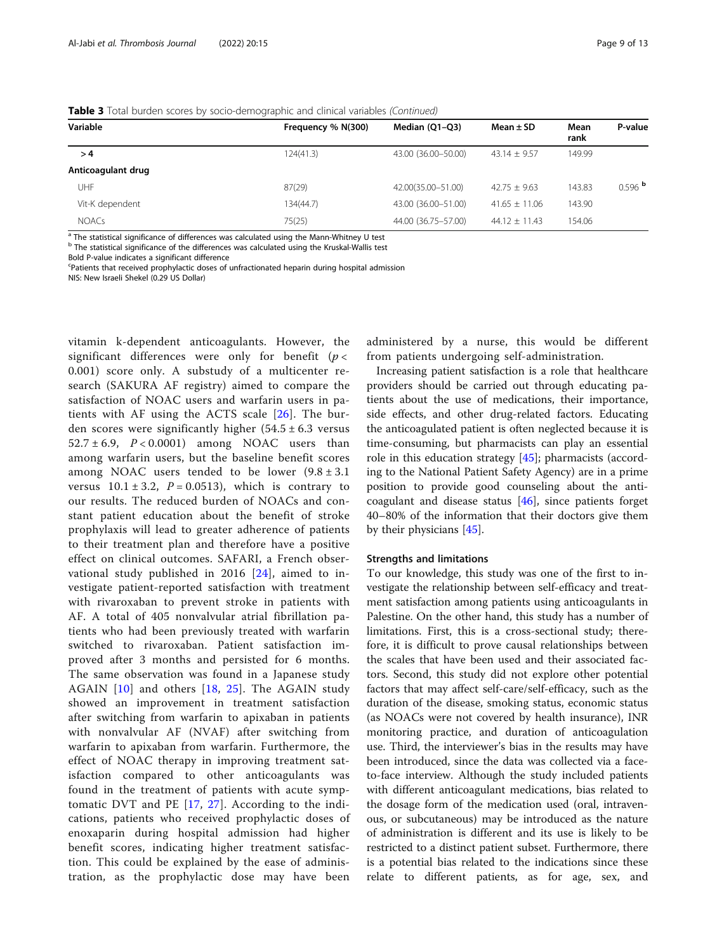|  | Table 3 Total burden scores by socio-demographic and clinical variables (Continued) |
|--|-------------------------------------------------------------------------------------|

| Variable           | Frequency % N(300) | Median (Q1-Q3)        | Mean $\pm$ SD     | Mean<br>rank | P-value   |
|--------------------|--------------------|-----------------------|-------------------|--------------|-----------|
| >4                 | 124(41.3)          | 43.00 (36.00-50.00)   | $43.14 + 9.57$    | 149.99       |           |
| Anticoagulant drug |                    |                       |                   |              |           |
| UHF                | 87(29)             | 42.00(35.00-51.00)    | $42.75 + 9.63$    | 143.83       | $0.596$ b |
| Vit-K dependent    | 134(44.7)          | 43.00 (36.00-51.00)   | $41.65 + 11.06$   | 143.90       |           |
| <b>NOACs</b>       | 75(25)             | 44.00 (36.75 - 57.00) | $44.12 \pm 11.43$ | 154.06       |           |

<sup>a</sup> The statistical significance of differences was calculated using the Mann-Whitney U test

b The statistical significance of the differences was calculated using the Kruskal-Wallis test

Bold P-value indicates a significant difference

Patients that received prophylactic doses of unfractionated heparin during hospital admission

NIS: New Israeli Shekel (0.29 US Dollar)

vitamin k-dependent anticoagulants. However, the significant differences were only for benefit ( $p <$ 0.001) score only. A substudy of a multicenter research (SAKURA AF registry) aimed to compare the satisfaction of NOAC users and warfarin users in patients with AF using the ACTS scale [\[26](#page-11-0)]. The burden scores were significantly higher  $(54.5 \pm 6.3 \text{ versus}$  $52.7 \pm 6.9$ ,  $P < 0.0001$ ) among NOAC users than among warfarin users, but the baseline benefit scores among NOAC users tended to be lower  $(9.8 \pm 3.1)$ versus  $10.1 \pm 3.2$ ,  $P = 0.0513$ ), which is contrary to our results. The reduced burden of NOACs and constant patient education about the benefit of stroke prophylaxis will lead to greater adherence of patients to their treatment plan and therefore have a positive effect on clinical outcomes. SAFARI, a French observational study published in 2016 [[24\]](#page-11-0), aimed to investigate patient-reported satisfaction with treatment with rivaroxaban to prevent stroke in patients with AF. A total of 405 nonvalvular atrial fibrillation patients who had been previously treated with warfarin switched to rivaroxaban. Patient satisfaction improved after 3 months and persisted for 6 months. The same observation was found in a Japanese study AGAIN [[10\]](#page-11-0) and others [[18](#page-11-0), [25](#page-11-0)]. The AGAIN study showed an improvement in treatment satisfaction after switching from warfarin to apixaban in patients with nonvalvular AF (NVAF) after switching from warfarin to apixaban from warfarin. Furthermore, the effect of NOAC therapy in improving treatment satisfaction compared to other anticoagulants was found in the treatment of patients with acute symptomatic DVT and PE [[17](#page-11-0), [27\]](#page-11-0). According to the indications, patients who received prophylactic doses of enoxaparin during hospital admission had higher benefit scores, indicating higher treatment satisfaction. This could be explained by the ease of administration, as the prophylactic dose may have been

administered by a nurse, this would be different from patients undergoing self-administration.

Increasing patient satisfaction is a role that healthcare providers should be carried out through educating patients about the use of medications, their importance, side effects, and other drug-related factors. Educating the anticoagulated patient is often neglected because it is time-consuming, but pharmacists can play an essential role in this education strategy [\[45](#page-12-0)]; pharmacists (according to the National Patient Safety Agency) are in a prime position to provide good counseling about the anticoagulant and disease status  $[46]$ , since patients forget 40–80% of the information that their doctors give them by their physicians [\[45\]](#page-12-0).

#### Strengths and limitations

To our knowledge, this study was one of the first to investigate the relationship between self-efficacy and treatment satisfaction among patients using anticoagulants in Palestine. On the other hand, this study has a number of limitations. First, this is a cross-sectional study; therefore, it is difficult to prove causal relationships between the scales that have been used and their associated factors. Second, this study did not explore other potential factors that may affect self-care/self-efficacy, such as the duration of the disease, smoking status, economic status (as NOACs were not covered by health insurance), INR monitoring practice, and duration of anticoagulation use. Third, the interviewer's bias in the results may have been introduced, since the data was collected via a faceto-face interview. Although the study included patients with different anticoagulant medications, bias related to the dosage form of the medication used (oral, intravenous, or subcutaneous) may be introduced as the nature of administration is different and its use is likely to be restricted to a distinct patient subset. Furthermore, there is a potential bias related to the indications since these relate to different patients, as for age, sex, and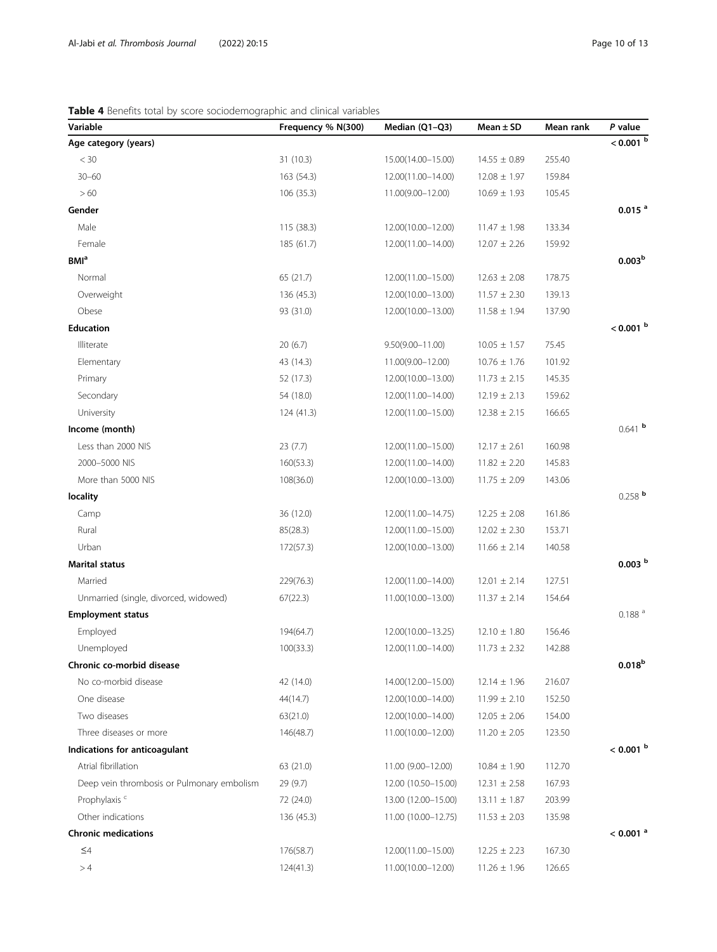# <span id="page-9-0"></span>Table 4 Benefits total by score sociodemographic and clinical variables

| Variable                                   | Frequency % N(300) | Median (Q1-Q3)       | $Mean \pm SD$    | Mean rank | $P$ value              |
|--------------------------------------------|--------------------|----------------------|------------------|-----------|------------------------|
| Age category (years)                       |                    |                      |                  |           | $< 0.001$ b            |
| $<$ 30                                     | 31 (10.3)          | 15.00(14.00-15.00)   | $14.55 \pm 0.89$ | 255.40    |                        |
| $30 - 60$                                  | 163 (54.3)         | 12.00(11.00-14.00)   | $12.08 \pm 1.97$ | 159.84    |                        |
| >60                                        | 106 (35.3)         | 11.00(9.00-12.00)    | $10.69 \pm 1.93$ | 105.45    |                        |
| Gender                                     |                    |                      |                  |           | 0.015 <sup>a</sup>     |
| Male                                       | 115(38.3)          | 12.00(10.00-12.00)   | $11.47 \pm 1.98$ | 133.34    |                        |
| Female                                     | 185 (61.7)         | 12.00(11.00-14.00)   | $12.07 \pm 2.26$ | 159.92    |                        |
| <b>BMI</b> <sup>a</sup>                    |                    |                      |                  |           | 0.003 <sup>b</sup>     |
| Normal                                     | 65 (21.7)          | 12.00(11.00-15.00)   | $12.63 \pm 2.08$ | 178.75    |                        |
| Overweight                                 | 136 (45.3)         | 12.00(10.00-13.00)   | $11.57 \pm 2.30$ | 139.13    |                        |
| Obese                                      | 93 (31.0)          | 12.00(10.00-13.00)   | $11.58 \pm 1.94$ | 137.90    |                        |
| <b>Education</b>                           |                    |                      |                  |           | $< 0.001$ b            |
| Illiterate                                 | 20(6.7)            | $9.50(9.00 - 11.00)$ | $10.05 \pm 1.57$ | 75.45     |                        |
| Elementary                                 | 43 (14.3)          | 11.00(9.00-12.00)    | $10.76 \pm 1.76$ | 101.92    |                        |
| Primary                                    | 52 (17.3)          | 12.00(10.00-13.00)   | $11.73 \pm 2.15$ | 145.35    |                        |
| Secondary                                  | 54 (18.0)          | 12.00(11.00-14.00)   | $12.19 \pm 2.13$ | 159.62    |                        |
| University                                 | 124(41.3)          | 12.00(11.00-15.00)   | $12.38 \pm 2.15$ | 166.65    |                        |
| Income (month)                             |                    |                      |                  |           | $0.641$ b              |
| Less than 2000 NIS                         | 23 (7.7)           | 12.00(11.00-15.00)   | $12.17 \pm 2.61$ | 160.98    |                        |
| 2000-5000 NIS                              | 160(53.3)          | 12.00(11.00-14.00)   | $11.82 \pm 2.20$ | 145.83    |                        |
| More than 5000 NIS                         | 108(36.0)          | 12.00(10.00-13.00)   | $11.75 \pm 2.09$ | 143.06    |                        |
| locality                                   |                    |                      |                  |           | $0.258$ b              |
| Camp                                       | 36 (12.0)          | 12.00(11.00-14.75)   | $12.25 \pm 2.08$ | 161.86    |                        |
| Rural                                      | 85(28.3)           | 12.00(11.00-15.00)   | $12.02 \pm 2.30$ | 153.71    |                        |
| Urban                                      | 172(57.3)          | 12.00(10.00-13.00)   | $11.66 \pm 2.14$ | 140.58    |                        |
| <b>Marital status</b>                      |                    |                      |                  |           | 0.003 <sup>b</sup>     |
| Married                                    | 229(76.3)          | 12.00(11.00-14.00)   | $12.01 \pm 2.14$ | 127.51    |                        |
| Unmarried (single, divorced, widowed)      | 67(22.3)           | 11.00(10.00-13.00)   | $11.37 \pm 2.14$ | 154.64    |                        |
| <b>Employment status</b>                   |                    |                      |                  |           | $0.188$ <sup>a</sup>   |
| Employed                                   | 194(64.7)          | 12.00(10.00-13.25)   | $12.10 \pm 1.80$ | 156.46    |                        |
| Unemployed                                 | 100(33.3)          | 12.00(11.00-14.00)   | $11.73 \pm 2.32$ | 142.88    |                        |
| Chronic co-morbid disease                  |                    |                      |                  |           | $0.018^{b}$            |
| No co-morbid disease                       | 42 (14.0)          | 14.00(12.00-15.00)   | $12.14 \pm 1.96$ | 216.07    |                        |
| One disease                                | 44(14.7)           | 12.00(10.00-14.00)   | $11.99 \pm 2.10$ | 152.50    |                        |
| Two diseases                               | 63(21.0)           | 12.00(10.00-14.00)   | $12.05 \pm 2.06$ | 154.00    |                        |
| Three diseases or more                     | 146(48.7)          | 11.00(10.00-12.00)   | $11.20 \pm 2.05$ | 123.50    |                        |
| Indications for anticoagulant              |                    |                      |                  |           | $<$ 0.001 $^{\rm b}$   |
| Atrial fibrillation                        | 63 (21.0)          | 11.00 (9.00-12.00)   | $10.84 \pm 1.90$ | 112.70    |                        |
| Deep vein thrombosis or Pulmonary embolism | 29 (9.7)           | 12.00 (10.50-15.00)  | $12.31 \pm 2.58$ | 167.93    |                        |
| Prophylaxis <sup>c</sup>                   | 72 (24.0)          | 13.00 (12.00-15.00)  | $13.11 \pm 1.87$ | 203.99    |                        |
| Other indications                          | 136 (45.3)         | 11.00 (10.00-12.75)  | $11.53 \pm 2.03$ | 135.98    |                        |
| <b>Chronic medications</b>                 |                    |                      |                  |           | $< 0.001$ <sup>a</sup> |
| $\leq 4$                                   | 176(58.7)          | 12.00(11.00-15.00)   | $12.25 \pm 2.23$ | 167.30    |                        |
| >4                                         | 124(41.3)          | 11.00(10.00-12.00)   | $11.26 \pm 1.96$ | 126.65    |                        |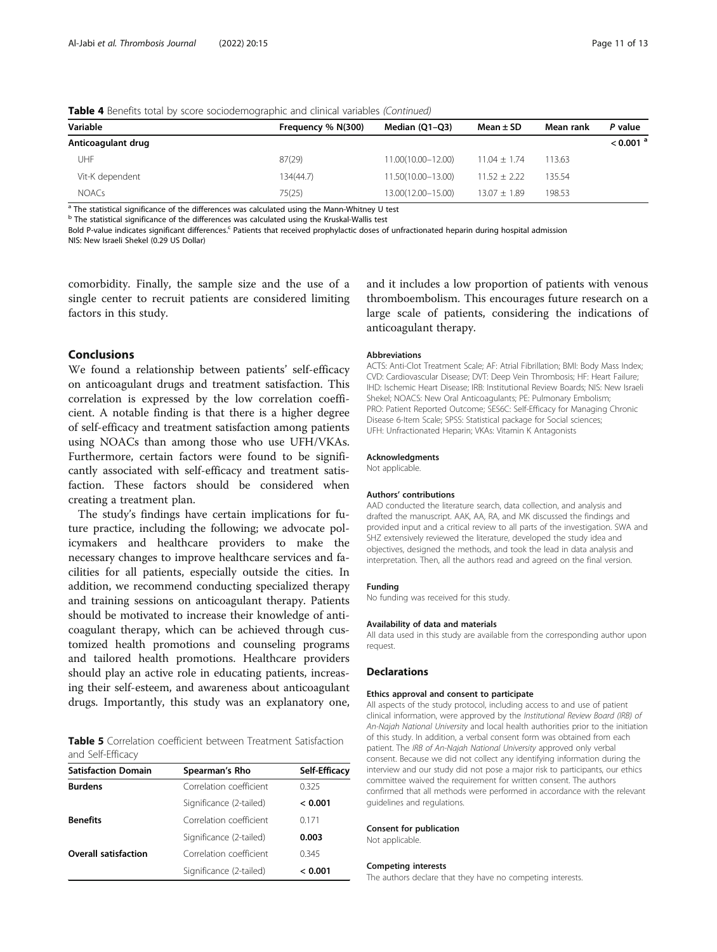|                    | $\tilde{\phantom{a}}$ |                    |                  |           |                        |
|--------------------|-----------------------|--------------------|------------------|-----------|------------------------|
| Variable           | Frequency % N(300)    | Median (Q1-Q3)     | Mean $\pm$ SD    | Mean rank | P value                |
| Anticoagulant drug |                       |                    |                  |           | $< 0.001$ <sup>a</sup> |
| JHF                | 87(29)                | 11.00(10.00-12.00) | $11.04 \pm 1.74$ | 113.63    |                        |
| Vit-K dependent    | 134(44.7)             | 11.50(10.00-13.00) | $11.52 \pm 2.22$ | 135.54    |                        |
| <b>NOACs</b>       | 75(25)                | 13.00(12.00-15.00) | $13.07 \pm 1.89$ | 198.53    |                        |

<span id="page-10-0"></span>Table 4 Benefits total by score sociodemographic and clinical variables (Continued)

<sup>a</sup> The statistical significance of the differences was calculated using the Mann-Whitney U test

b The statistical significance of the differences was calculated using the Kruskal-Wallis test

Bold P-value indicates significant differences.<sup>c</sup> Patients that received prophylactic doses of unfractionated heparin during hospital admission NIS: New Israeli Shekel (0.29 US Dollar)

comorbidity. Finally, the sample size and the use of a single center to recruit patients are considered limiting factors in this study.

# Conclusions

We found a relationship between patients' self-efficacy on anticoagulant drugs and treatment satisfaction. This correlation is expressed by the low correlation coefficient. A notable finding is that there is a higher degree of self-efficacy and treatment satisfaction among patients using NOACs than among those who use UFH/VKAs. Furthermore, certain factors were found to be significantly associated with self-efficacy and treatment satisfaction. These factors should be considered when creating a treatment plan.

The study's findings have certain implications for future practice, including the following; we advocate policymakers and healthcare providers to make the necessary changes to improve healthcare services and facilities for all patients, especially outside the cities. In addition, we recommend conducting specialized therapy and training sessions on anticoagulant therapy. Patients should be motivated to increase their knowledge of anticoagulant therapy, which can be achieved through customized health promotions and counseling programs and tailored health promotions. Healthcare providers should play an active role in educating patients, increasing their self-esteem, and awareness about anticoagulant drugs. Importantly, this study was an explanatory one,

Table 5 Correlation coefficient between Treatment Satisfaction and Self-Efficacy

| <b>Satisfaction Domain</b>  | Spearman's Rho          | Self-Efficacy |
|-----------------------------|-------------------------|---------------|
| <b>Burdens</b>              | Correlation coefficient | 0.325         |
|                             | Significance (2-tailed) | < 0.001       |
| <b>Benefits</b>             | Correlation coefficient | 0171          |
|                             | Significance (2-tailed) | 0.003         |
| <b>Overall satisfaction</b> | Correlation coefficient | 0.345         |
|                             | Significance (2-tailed) | < 0.001       |

and it includes a low proportion of patients with venous thromboembolism. This encourages future research on a large scale of patients, considering the indications of anticoagulant therapy.

#### Abbreviations

ACTS: Anti-Clot Treatment Scale; AF: Atrial Fibrillation; BMI: Body Mass Index; CVD: Cardiovascular Disease; DVT: Deep Vein Thrombosis; HF: Heart Failure; IHD: Ischemic Heart Disease; IRB: Institutional Review Boards; NIS: New Israeli Shekel; NOACS: New Oral Anticoagulants; PE: Pulmonary Embolism; PRO: Patient Reported Outcome; SES6C: Self-Efficacy for Managing Chronic Disease 6-Item Scale; SPSS: Statistical package for Social sciences; UFH: Unfractionated Heparin; VKAs: Vitamin K Antagonists

#### Acknowledgments

Not applicable.

#### Authors' contributions

AAD conducted the literature search, data collection, and analysis and drafted the manuscript. AAK, AA, RA, and MK discussed the findings and provided input and a critical review to all parts of the investigation. SWA and SHZ extensively reviewed the literature, developed the study idea and objectives, designed the methods, and took the lead in data analysis and interpretation. Then, all the authors read and agreed on the final version.

#### Funding

No funding was received for this study.

#### Availability of data and materials

All data used in this study are available from the corresponding author upon request.

# Declarations

#### Ethics approval and consent to participate

All aspects of the study protocol, including access to and use of patient clinical information, were approved by the Institutional Review Board (IRB) of An-Najah National University and local health authorities prior to the initiation of this study. In addition, a verbal consent form was obtained from each patient. The IRB of An-Najah National University approved only verbal consent. Because we did not collect any identifying information during the interview and our study did not pose a major risk to participants, our ethics committee waived the requirement for written consent. The authors confirmed that all methods were performed in accordance with the relevant guidelines and regulations.

#### Consent for publication

Not applicable.

#### Competing interests

The authors declare that they have no competing interests.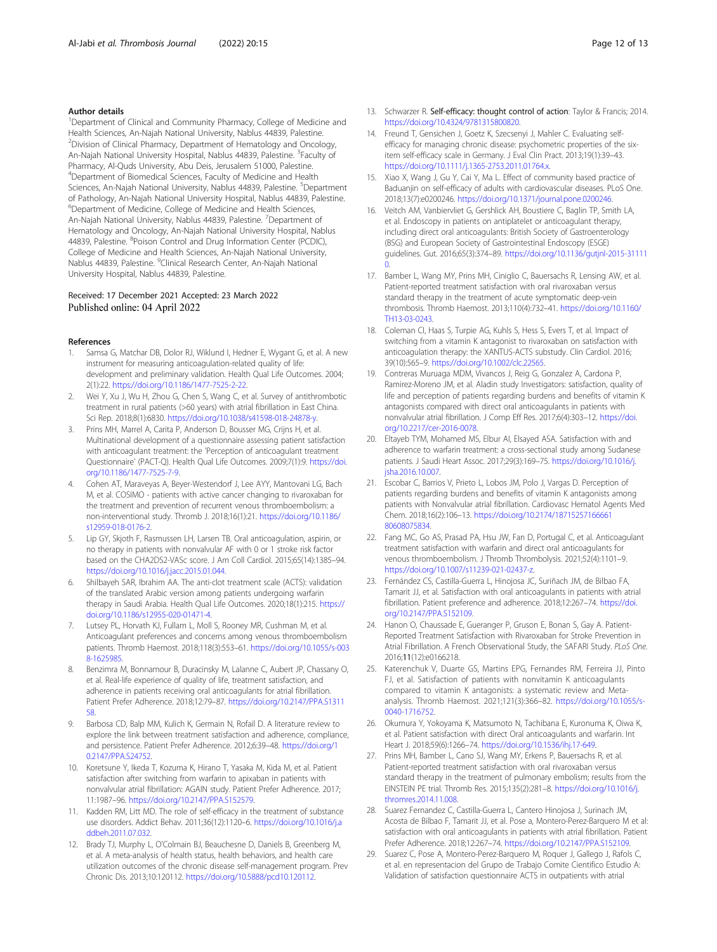## <span id="page-11-0"></span>Author details

<sup>1</sup>Department of Clinical and Community Pharmacy, College of Medicine and Health Sciences, An-Najah National University, Nablus 44839, Palestine. <sup>2</sup> Division of Clinical Pharmacy, Department of Hematology and Oncology, An-Najah National University Hospital, Nablus 44839, Palestine. <sup>3</sup>Faculty of Pharmacy, Al-Quds University, Abu Deis, Jerusalem 51000, Palestine. 4 Department of Biomedical Sciences, Faculty of Medicine and Health Sciences, An-Najah National University, Nablus 44839, Palestine. <sup>5</sup>Department of Pathology, An-Najah National University Hospital, Nablus 44839, Palestine. <sup>6</sup>Department of Medicine, College of Medicine and Health Sciences, An-Najah National University, Nablus 44839, Palestine. <sup>7</sup>Department of Hematology and Oncology, An-Najah National University Hospital, Nablus 44839, Palestine. <sup>8</sup>Poison Control and Drug Information Center (PCDIC), College of Medicine and Health Sciences, An-Najah National University, Nablus 44839, Palestine. <sup>9</sup>Clinical Research Center, An-Najah National University Hospital, Nablus 44839, Palestine.

# Received: 17 December 2021 Accepted: 23 March 2022 Published online: 04 April 2022

#### References

- Samsa G, Matchar DB, Dolor RJ, Wiklund I, Hedner E, Wygant G, et al. A new instrument for measuring anticoagulation-related quality of life: development and preliminary validation. Health Qual Life Outcomes. 2004; 2(1):22. [https://doi.org/10.1186/1477-7525-2-22.](https://doi.org/10.1186/1477-7525-2-22)
- 2. Wei Y, Xu J, Wu H, Zhou G, Chen S, Wang C, et al. Survey of antithrombotic treatment in rural patients (>60 years) with atrial fibrillation in East China. Sci Rep. 2018;8(1):6830. [https://doi.org/10.1038/s41598-018-24878-y.](https://doi.org/10.1038/s41598-018-24878-y)
- 3. Prins MH, Marrel A, Carita P, Anderson D, Bousser MG, Crijns H, et al. Multinational development of a questionnaire assessing patient satisfaction with anticoagulant treatment: the 'Perception of anticoagulant treatment Questionnaire' (PACT-Q). Health Qual Life Outcomes. 2009;7(1):9. [https://doi.](https://doi.org/10.1186/1477-7525-7-9) [org/10.1186/1477-7525-7-9](https://doi.org/10.1186/1477-7525-7-9).
- 4. Cohen AT, Maraveyas A, Beyer-Westendorf J, Lee AYY, Mantovani LG, Bach M, et al. COSIMO - patients with active cancer changing to rivaroxaban for the treatment and prevention of recurrent venous thromboembolism: a non-interventional study. Thromb J. 2018;16(1):21. [https://doi.org/10.1186/](https://doi.org/10.1186/s12959-018-0176-2) [s12959-018-0176-2.](https://doi.org/10.1186/s12959-018-0176-2)
- 5. Lip GY, Skjoth F, Rasmussen LH, Larsen TB. Oral anticoagulation, aspirin, or no therapy in patients with nonvalvular AF with 0 or 1 stroke risk factor based on the CHA2DS2-VASc score. J Am Coll Cardiol. 2015;65(14):1385–94. [https://doi.org/10.1016/j.jacc.2015.01.044.](https://doi.org/10.1016/j.jacc.2015.01.044)
- 6. Shilbayeh SAR, Ibrahim AA. The anti-clot treatment scale (ACTS): validation of the translated Arabic version among patients undergoing warfarin therapy in Saudi Arabia. Health Qual Life Outcomes. 2020;18(1):215. [https://](https://doi.org/10.1186/s12955-020-01471-4) [doi.org/10.1186/s12955-020-01471-4.](https://doi.org/10.1186/s12955-020-01471-4)
- 7. Lutsey PL, Horvath KJ, Fullam L, Moll S, Rooney MR, Cushman M, et al. Anticoagulant preferences and concerns among venous thromboembolism patients. Thromb Haemost. 2018;118(3):553–61. [https://doi.org/10.1055/s-003](https://doi.org/10.1055/s-0038-1625985) [8-1625985](https://doi.org/10.1055/s-0038-1625985).
- 8. Benzimra M, Bonnamour B, Duracinsky M, Lalanne C, Aubert JP, Chassany O, et al. Real-life experience of quality of life, treatment satisfaction, and adherence in patients receiving oral anticoagulants for atrial fibrillation. Patient Prefer Adherence. 2018;12:79–87. [https://doi.org/10.2147/PPA.S1311](https://doi.org/10.2147/PPA.S131158) [58.](https://doi.org/10.2147/PPA.S131158)
- 9. Barbosa CD, Balp MM, Kulich K, Germain N, Rofail D. A literature review to explore the link between treatment satisfaction and adherence, compliance, and persistence. Patient Prefer Adherence. 2012;6:39–48. [https://doi.org/1](https://doi.org/10.2147/PPA.S24752) [0.2147/PPA.S24752](https://doi.org/10.2147/PPA.S24752).
- 10. Koretsune Y, Ikeda T, Kozuma K, Hirano T, Yasaka M, Kida M, et al. Patient satisfaction after switching from warfarin to apixaban in patients with nonvalvular atrial fibrillation: AGAIN study. Patient Prefer Adherence. 2017; 11:1987–96. [https://doi.org/10.2147/PPA.S152579.](https://doi.org/10.2147/PPA.S152579)
- 11. Kadden RM, Litt MD. The role of self-efficacy in the treatment of substance use disorders. Addict Behav. 2011;36(12):1120–6. [https://doi.org/10.1016/j.a](https://doi.org/10.1016/j.addbeh.2011.07.032) [ddbeh.2011.07.032.](https://doi.org/10.1016/j.addbeh.2011.07.032)
- 12. Brady TJ, Murphy L, O'Colmain BJ, Beauchesne D, Daniels B, Greenberg M, et al. A meta-analysis of health status, health behaviors, and health care utilization outcomes of the chronic disease self-management program. Prev Chronic Dis. 2013;10:120112. <https://doi.org/10.5888/pcd10.120112>.
- 13. Schwarzer R. Self-efficacy: thought control of action: Taylor & Francis; 2014. <https://doi.org/10.4324/9781315800820>.
- 14. Freund T, Gensichen J, Goetz K, Szecsenyi J, Mahler C. Evaluating selfefficacy for managing chronic disease: psychometric properties of the sixitem self-efficacy scale in Germany. J Eval Clin Pract. 2013;19(1):39–43. <https://doi.org/10.1111/j.1365-2753.2011.01764.x>.
- 15. Xiao X, Wang J, Gu Y, Cai Y, Ma L. Effect of community based practice of Baduanjin on self-efficacy of adults with cardiovascular diseases. PLoS One. 2018;13(7):e0200246. <https://doi.org/10.1371/journal.pone.0200246>.
- 16. Veitch AM, Vanbiervliet G, Gershlick AH, Boustiere C, Baglin TP, Smith LA, et al. Endoscopy in patients on antiplatelet or anticoagulant therapy, including direct oral anticoagulants: British Society of Gastroenterology (BSG) and European Society of Gastrointestinal Endoscopy (ESGE) guidelines. Gut. 2016;65(3):374–89. [https://doi.org/10.1136/gutjnl-2015-31111](https://doi.org/10.1136/gutjnl-2015-311110)  $\Omega$
- 17. Bamber L, Wang MY, Prins MH, Ciniglio C, Bauersachs R, Lensing AW, et al. Patient-reported treatment satisfaction with oral rivaroxaban versus standard therapy in the treatment of acute symptomatic deep-vein thrombosis. Thromb Haemost. 2013;110(4):732–41. [https://doi.org/10.1160/](https://doi.org/10.1160/TH13-03-0243) [TH13-03-0243.](https://doi.org/10.1160/TH13-03-0243)
- 18. Coleman CI, Haas S, Turpie AG, Kuhls S, Hess S, Evers T, et al. Impact of switching from a vitamin K antagonist to rivaroxaban on satisfaction with anticoagulation therapy: the XANTUS-ACTS substudy. Clin Cardiol. 2016; 39(10):565–9. <https://doi.org/10.1002/clc.22565>.
- 19. Contreras Muruaga MDM, Vivancos J, Reig G, Gonzalez A, Cardona P, Ramirez-Moreno JM, et al. Aladin study Investigators: satisfaction, quality of life and perception of patients regarding burdens and benefits of vitamin K antagonists compared with direct oral anticoagulants in patients with nonvalvular atrial fibrillation. J Comp Eff Res. 2017;6(4):303–12. [https://doi.](https://doi.org/10.2217/cer-2016-0078) [org/10.2217/cer-2016-0078](https://doi.org/10.2217/cer-2016-0078).
- 20. Eltayeb TYM, Mohamed MS, Elbur AI, Elsayed ASA. Satisfaction with and adherence to warfarin treatment: a cross-sectional study among Sudanese patients. J Saudi Heart Assoc. 2017;29(3):169–75. [https://doi.org/10.1016/j.](https://doi.org/10.1016/j.jsha.2016.10.007) [jsha.2016.10.007](https://doi.org/10.1016/j.jsha.2016.10.007).
- 21. Escobar C, Barrios V, Prieto L, Lobos JM, Polo J, Vargas D. Perception of patients regarding burdens and benefits of vitamin K antagonists among patients with Nonvalvular atrial fibrillation. Cardiovasc Hematol Agents Med Chem. 2018;16(2):106–13. [https://doi.org/10.2174/18715257166661](https://doi.org/10.2174/1871525716666180608075834) [80608075834](https://doi.org/10.2174/1871525716666180608075834).
- 22. Fang MC, Go AS, Prasad PA, Hsu JW, Fan D, Portugal C, et al. Anticoagulant treatment satisfaction with warfarin and direct oral anticoagulants for venous thromboembolism. J Thromb Thrombolysis. 2021;52(4):1101–9. [https://doi.org/10.1007/s11239-021-02437-z.](https://doi.org/10.1007/s11239-021-02437-z)
- 23. Fernández CS, Castilla-Guerra L, Hinojosa JC, Suriñach JM, de Bilbao FA, Tamarit JJ, et al. Satisfaction with oral anticoagulants in patients with atrial fibrillation. Patient preference and adherence. 2018;12:267–74. [https://doi.](https://doi.org/10.2147/PPA.S152109) [org/10.2147/PPA.S152109](https://doi.org/10.2147/PPA.S152109).
- 24. Hanon O, Chaussade E, Gueranger P, Gruson E, Bonan S, Gay A. Patient-Reported Treatment Satisfaction with Rivaroxaban for Stroke Prevention in Atrial Fibrillation. A French Observational Study, the SAFARI Study. PLoS One. 2016;11(12):e0166218.
- 25. Katerenchuk V, Duarte GS, Martins EPG, Fernandes RM, Ferreira JJ, Pinto FJ, et al. Satisfaction of patients with nonvitamin K anticoagulants compared to vitamin K antagonists: a systematic review and Metaanalysis. Thromb Haemost. 2021;121(3):366–82. [https://doi.org/10.1055/s-](https://doi.org/10.1055/s-0040-1716752)[0040-1716752](https://doi.org/10.1055/s-0040-1716752).
- 26. Okumura Y, Yokoyama K, Matsumoto N, Tachibana E, Kuronuma K, Oiwa K, et al. Patient satisfaction with direct Oral anticoagulants and warfarin. Int Heart J. 2018;59(6):1266–74. [https://doi.org/10.1536/ihj.17-649.](https://doi.org/10.1536/ihj.17-649)
- 27. Prins MH, Bamber L, Cano SJ, Wang MY, Erkens P, Bauersachs R, et al. Patient-reported treatment satisfaction with oral rivaroxaban versus standard therapy in the treatment of pulmonary embolism; results from the EINSTEIN PE trial. Thromb Res. 2015;135(2):281–8. [https://doi.org/10.1016/j.](https://doi.org/10.1016/j.thromres.2014.11.008) [thromres.2014.11.008.](https://doi.org/10.1016/j.thromres.2014.11.008)
- 28. Suarez Fernandez C, Castilla-Guerra L, Cantero Hinojosa J, Surinach JM, Acosta de Bilbao F, Tamarit JJ, et al. Pose a, Montero-Perez-Barquero M et al: satisfaction with oral anticoagulants in patients with atrial fibrillation. Patient Prefer Adherence. 2018;12:267–74. [https://doi.org/10.2147/PPA.S152109.](https://doi.org/10.2147/PPA.S152109)
- 29. Suarez C, Pose A, Montero-Perez-Barquero M, Roquer J, Gallego J, Rafols C, et al. en representacion del Grupo de Trabajo Comite Cientifico Estudio A: Validation of satisfaction questionnaire ACTS in outpatients with atrial